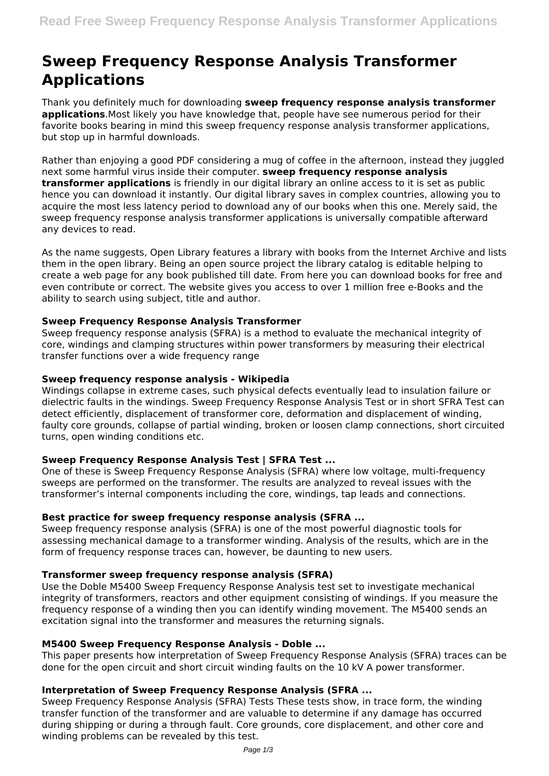# **Sweep Frequency Response Analysis Transformer Applications**

Thank you definitely much for downloading **sweep frequency response analysis transformer applications**.Most likely you have knowledge that, people have see numerous period for their favorite books bearing in mind this sweep frequency response analysis transformer applications, but stop up in harmful downloads.

Rather than enjoying a good PDF considering a mug of coffee in the afternoon, instead they juggled next some harmful virus inside their computer. **sweep frequency response analysis transformer applications** is friendly in our digital library an online access to it is set as public hence you can download it instantly. Our digital library saves in complex countries, allowing you to acquire the most less latency period to download any of our books when this one. Merely said, the sweep frequency response analysis transformer applications is universally compatible afterward any devices to read.

As the name suggests, Open Library features a library with books from the Internet Archive and lists them in the open library. Being an open source project the library catalog is editable helping to create a web page for any book published till date. From here you can download books for free and even contribute or correct. The website gives you access to over 1 million free e-Books and the ability to search using subject, title and author.

## **Sweep Frequency Response Analysis Transformer**

Sweep frequency response analysis (SFRA) is a method to evaluate the mechanical integrity of core, windings and clamping structures within power transformers by measuring their electrical transfer functions over a wide frequency range

## **Sweep frequency response analysis - Wikipedia**

Windings collapse in extreme cases, such physical defects eventually lead to insulation failure or dielectric faults in the windings. Sweep Frequency Response Analysis Test or in short SFRA Test can detect efficiently, displacement of transformer core, deformation and displacement of winding, faulty core grounds, collapse of partial winding, broken or loosen clamp connections, short circuited turns, open winding conditions etc.

## **Sweep Frequency Response Analysis Test | SFRA Test ...**

One of these is Sweep Frequency Response Analysis (SFRA) where low voltage, multi-frequency sweeps are performed on the transformer. The results are analyzed to reveal issues with the transformer's internal components including the core, windings, tap leads and connections.

## **Best practice for sweep frequency response analysis (SFRA ...**

Sweep frequency response analysis (SFRA) is one of the most powerful diagnostic tools for assessing mechanical damage to a transformer winding. Analysis of the results, which are in the form of frequency response traces can, however, be daunting to new users.

## **Transformer sweep frequency response analysis (SFRA)**

Use the Doble M5400 Sweep Frequency Response Analysis test set to investigate mechanical integrity of transformers, reactors and other equipment consisting of windings. If you measure the frequency response of a winding then you can identify winding movement. The M5400 sends an excitation signal into the transformer and measures the returning signals.

## **M5400 Sweep Frequency Response Analysis - Doble ...**

This paper presents how interpretation of Sweep Frequency Response Analysis (SFRA) traces can be done for the open circuit and short circuit winding faults on the 10 kV A power transformer.

## **Interpretation of Sweep Frequency Response Analysis (SFRA ...**

Sweep Frequency Response Analysis (SFRA) Tests These tests show, in trace form, the winding transfer function of the transformer and are valuable to determine if any damage has occurred during shipping or during a through fault. Core grounds, core displacement, and other core and winding problems can be revealed by this test.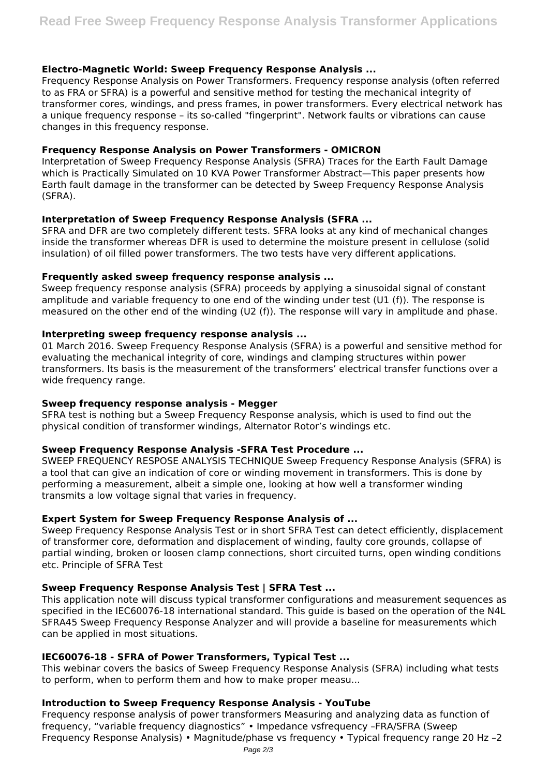### **Electro-Magnetic World: Sweep Frequency Response Analysis ...**

Frequency Response Analysis on Power Transformers. Frequency response analysis (often referred to as FRA or SFRA) is a powerful and sensitive method for testing the mechanical integrity of transformer cores, windings, and press frames, in power transformers. Every electrical network has a unique frequency response – its so-called "fingerprint". Network faults or vibrations can cause changes in this frequency response.

#### **Frequency Response Analysis on Power Transformers - OMICRON**

Interpretation of Sweep Frequency Response Analysis (SFRA) Traces for the Earth Fault Damage which is Practically Simulated on 10 KVA Power Transformer Abstract—This paper presents how Earth fault damage in the transformer can be detected by Sweep Frequency Response Analysis (SFRA).

#### **Interpretation of Sweep Frequency Response Analysis (SFRA ...**

SFRA and DFR are two completely different tests. SFRA looks at any kind of mechanical changes inside the transformer whereas DFR is used to determine the moisture present in cellulose (solid insulation) of oil filled power transformers. The two tests have very different applications.

#### **Frequently asked sweep frequency response analysis ...**

Sweep frequency response analysis (SFRA) proceeds by applying a sinusoidal signal of constant amplitude and variable frequency to one end of the winding under test (U1 (f)). The response is measured on the other end of the winding (U2 (f)). The response will vary in amplitude and phase.

#### **Interpreting sweep frequency response analysis ...**

01 March 2016. Sweep Frequency Response Analysis (SFRA) is a powerful and sensitive method for evaluating the mechanical integrity of core, windings and clamping structures within power transformers. Its basis is the measurement of the transformers' electrical transfer functions over a wide frequency range.

#### **Sweep frequency response analysis - Megger**

SFRA test is nothing but a Sweep Frequency Response analysis, which is used to find out the physical condition of transformer windings, Alternator Rotor's windings etc.

#### **Sweep Frequency Response Analysis -SFRA Test Procedure ...**

SWEEP FREQUENCY RESPOSE ANALYSIS TECHNIQUE Sweep Frequency Response Analysis (SFRA) is a tool that can give an indication of core or winding movement in transformers. This is done by performing a measurement, albeit a simple one, looking at how well a transformer winding transmits a low voltage signal that varies in frequency.

#### **Expert System for Sweep Frequency Response Analysis of ...**

Sweep Frequency Response Analysis Test or in short SFRA Test can detect efficiently, displacement of transformer core, deformation and displacement of winding, faulty core grounds, collapse of partial winding, broken or loosen clamp connections, short circuited turns, open winding conditions etc. Principle of SFRA Test

## **Sweep Frequency Response Analysis Test | SFRA Test ...**

This application note will discuss typical transformer configurations and measurement sequences as specified in the IEC60076-18 international standard. This guide is based on the operation of the N4L SFRA45 Sweep Frequency Response Analyzer and will provide a baseline for measurements which can be applied in most situations.

#### **IEC60076-18 - SFRA of Power Transformers, Typical Test ...**

This webinar covers the basics of Sweep Frequency Response Analysis (SFRA) including what tests to perform, when to perform them and how to make proper measu...

#### **Introduction to Sweep Frequency Response Analysis - YouTube**

Frequency response analysis of power transformers Measuring and analyzing data as function of frequency, "variable frequency diagnostics" • Impedance vsfrequency –FRA/SFRA (Sweep Frequency Response Analysis) • Magnitude/phase vs frequency • Typical frequency range 20 Hz –2